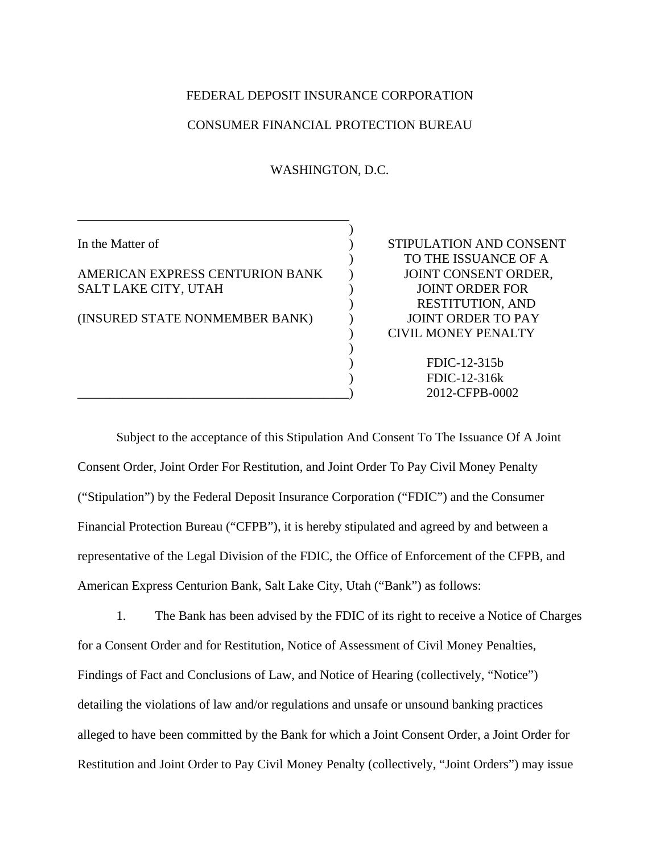#### FEDERAL DEPOSIT INSURANCE CORPORATION

#### CONSUMER FINANCIAL PROTECTION BUREAU

WASHINGTON, D.C.

l

## AMERICAN EXPRESS CENTURION BANK JOINT CONSENT ORDER, SALT LAKE CITY, UTAH  $\qquad \qquad$  ) JOINT ORDER FOR

 $)$ 

 $)$ 

(INSURED STATE NONMEMBER BANK) ) JOINT ORDER TO PAY

In the Matter of  $\qquad \qquad$  ) STIPULATION AND CONSENT ) TO THE ISSUANCE OF A ) RESTITUTION, AND ) CIVIL MONEY PENALTY

> ) FDIC-12-315b ) FDIC-12-316k \_\_\_\_\_\_\_\_\_\_\_\_\_\_\_\_\_\_\_\_\_\_\_\_\_\_\_\_\_\_\_\_\_\_\_\_\_\_\_\_\_\_) 2012-CFPB-0002

 Subject to the acceptance of this Stipulation And Consent To The Issuance Of A Joint Consent Order, Joint Order For Restitution, and Joint Order To Pay Civil Money Penalty ("Stipulation") by the Federal Deposit Insurance Corporation ("FDIC") and the Consumer Financial Protection Bureau ("CFPB"), it is hereby stipulated and agreed by and between a representative of the Legal Division of the FDIC, the Office of Enforcement of the CFPB, and American Express Centurion Bank, Salt Lake City, Utah ("Bank") as follows:

1. The Bank has been advised by the FDIC of its right to receive a Notice of Charges for a Consent Order and for Restitution, Notice of Assessment of Civil Money Penalties, Findings of Fact and Conclusions of Law, and Notice of Hearing (collectively, "Notice") detailing the violations of law and/or regulations and unsafe or unsound banking practices alleged to have been committed by the Bank for which a Joint Consent Order, a Joint Order for Restitution and Joint Order to Pay Civil Money Penalty (collectively, "Joint Orders") may issue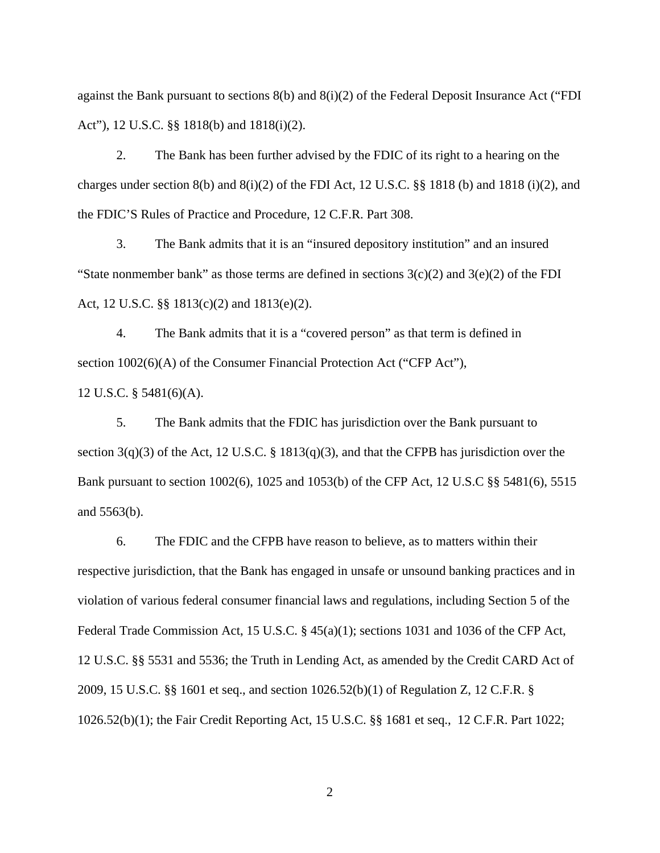against the Bank pursuant to sections 8(b) and 8(i)(2) of the Federal Deposit Insurance Act ("FDI Act"), 12 U.S.C. §§ 1818(b) and 1818(i)(2).

2. The Bank has been further advised by the FDIC of its right to a hearing on the charges under section 8(b) and 8(i)(2) of the FDI Act, 12 U.S.C. §§ 1818 (b) and 1818 (i)(2), and the FDIC'S Rules of Practice and Procedure, 12 C.F.R. Part 308.

3. The Bank admits that it is an "insured depository institution" and an insured "State nonmember bank" as those terms are defined in sections  $3(c)(2)$  and  $3(e)(2)$  of the FDI Act, 12 U.S.C. §§ 1813(c)(2) and 1813(e)(2).

4. The Bank admits that it is a "covered person" as that term is defined in section 1002(6)(A) of the Consumer Financial Protection Act ("CFP Act"),

12 U.S.C. § 5481(6)(A).

5. The Bank admits that the FDIC has jurisdiction over the Bank pursuant to section 3(q)(3) of the Act, 12 U.S.C. § 1813(q)(3), and that the CFPB has jurisdiction over the Bank pursuant to section 1002(6), 1025 and 1053(b) of the CFP Act, 12 U.S.C §§ 5481(6), 5515 and 5563(b).

6. The FDIC and the CFPB have reason to believe, as to matters within their respective jurisdiction, that the Bank has engaged in unsafe or unsound banking practices and in violation of various federal consumer financial laws and regulations, including Section 5 of the Federal Trade Commission Act, 15 U.S.C. § 45(a)(1); sections 1031 and 1036 of the CFP Act, 12 U.S.C. §§ 5531 and 5536; the Truth in Lending Act, as amended by the Credit CARD Act of 2009, 15 U.S.C. §§ 1601 et seq., and section 1026.52(b)(1) of Regulation Z, 12 C.F.R. § 1026.52(b)(1); the Fair Credit Reporting Act, 15 U.S.C. §§ 1681 et seq., 12 C.F.R. Part 1022;

2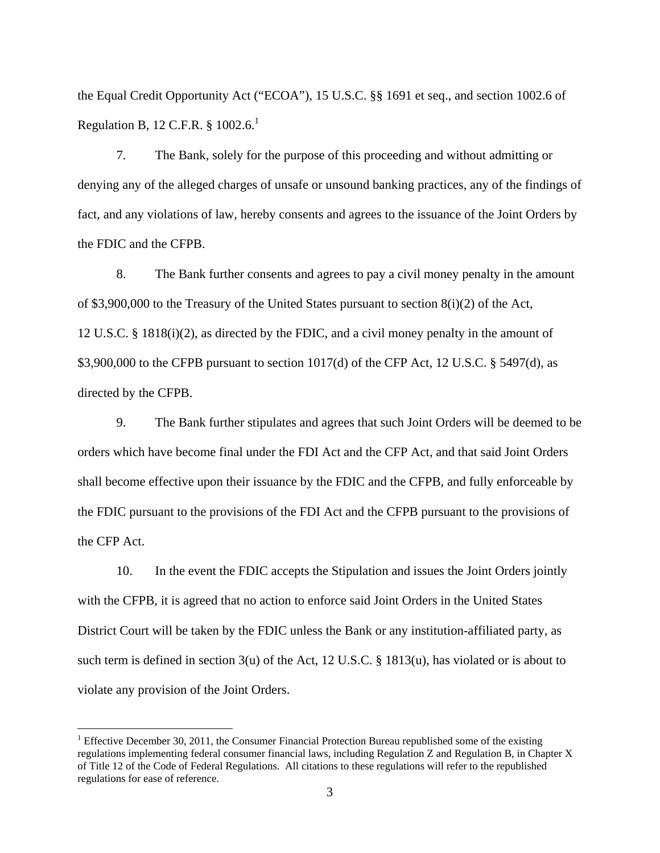the Equal Credit Opportunity Act ("ECOA"), 15 U.S.C. §§ 1691 et seq., and section 1002.6 of Regulation B, 12 C.F.R.  $§$  1002.6.<sup>1</sup>

7. The Bank, solely for the purpose of this proceeding and without admitting or denying any of the alleged charges of unsafe or unsound banking practices, any of the findings of fact, and any violations of law, hereby consents and agrees to the issuance of the Joint Orders by the FDIC and the CFPB.

8. The Bank further consents and agrees to pay a civil money penalty in the amount of \$3,900,000 to the Treasury of the United States pursuant to section  $8(i)(2)$  of the Act, 12 U.S.C. § 1818(i)(2), as directed by the FDIC, and a civil money penalty in the amount of \$3,900,000 to the CFPB pursuant to section 1017(d) of the CFP Act, 12 U.S.C. § 5497(d), as directed by the CFPB.

9. The Bank further stipulates and agrees that such Joint Orders will be deemed to be orders which have become final under the FDI Act and the CFP Act, and that said Joint Orders shall become effective upon their issuance by the FDIC and the CFPB, and fully enforceable by the FDIC pursuant to the provisions of the FDI Act and the CFPB pursuant to the provisions of the CFP Act.

10. In the event the FDIC accepts the Stipulation and issues the Joint Orders jointly with the CFPB, it is agreed that no action to enforce said Joint Orders in the United States District Court will be taken by the FDIC unless the Bank or any institution-affiliated party, as such term is defined in section 3(u) of the Act, 12 U.S.C. § 1813(u), has violated or is about to violate any provision of the Joint Orders.

 $\overline{a}$ 

<sup>&</sup>lt;sup>1</sup> Effective December 30, 2011, the Consumer Financial Protection Bureau republished some of the existing regulations implementing federal consumer financial laws, including Regulation Z and Regulation B, in Chapter X of Title 12 of the Code of Federal Regulations. All citations to these regulations will refer to the republished regulations for ease of reference.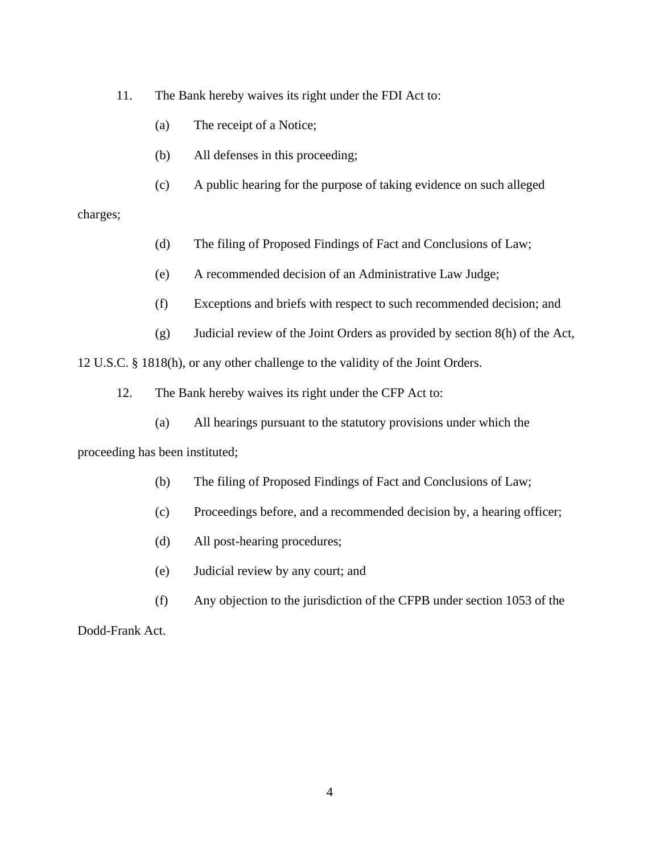11. The Bank hereby waives its right under the FDI Act to:

- (a) The receipt of a Notice;
- (b) All defenses in this proceeding;
- (c) A public hearing for the purpose of taking evidence on such alleged

#### charges;

- (d) The filing of Proposed Findings of Fact and Conclusions of Law;
- (e) A recommended decision of an Administrative Law Judge;
- (f) Exceptions and briefs with respect to such recommended decision; and
- (g) Judicial review of the Joint Orders as provided by section 8(h) of the Act,

12 U.S.C. § 1818(h), or any other challenge to the validity of the Joint Orders.

- 12. The Bank hereby waives its right under the CFP Act to:
	- (a) All hearings pursuant to the statutory provisions under which the

proceeding has been instituted;

- (b) The filing of Proposed Findings of Fact and Conclusions of Law;
- (c) Proceedings before, and a recommended decision by, a hearing officer;
- (d) All post-hearing procedures;
- (e) Judicial review by any court; and
- (f) Any objection to the jurisdiction of the CFPB under section 1053 of the

Dodd-Frank Act.